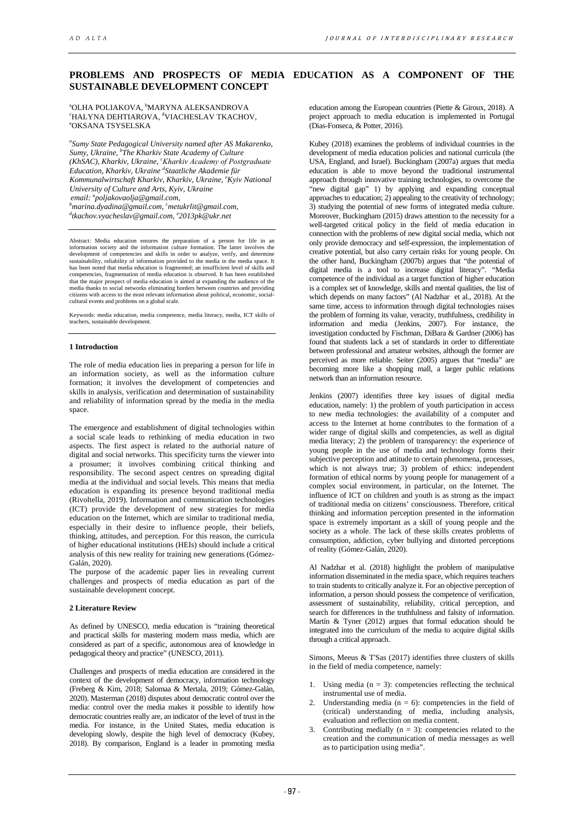# **PROBLEMS AND PROSPECTS OF MEDIA EDUCATION AS A COMPONENT OF THE SUSTAINABLE DEVELOPMENT CONCEPT**

## <sup>a</sup>OLHA POLIAKOVA, <sup>b</sup>MARYNA ALEKSANDROVA °HALYNA DEHTIAROVA, <sup>d</sup>VIACHESLAV TKACHOV,<br>°OKSANA TSYSEI SKA OKSANA TSYSELSKA

*a Sumy State Pedagogical University named after AS Makarenko, Sumy, Ukraine, b The Kharkiv State Academy of Culture (KhSAC), Kharkiv, Ukraine, <sup>c</sup> Kharkіv Academy of Postgraduate Education, Kharkiv, Ukraine <sup>d</sup> Staatliche Akademie für Kommunalwirtschaft Kharkiv, Kharkiv, Ukraine, <sup>e</sup> Kyiv National University of Culture and Arts, Kyiv, Ukraine email: a poljakovaolja@gmail.com, b* <sup>*b*</sup>marina.[d](mailto:dkostromina.hanna@gmail.com)yadina@gmail.com, <sup>c</sup>metukrlit@gmail.com,<br><sup>d</sup>ikashov wyashoslav@gmail.com, <sup>e</sup>2013 pk@ykr.pet *tkachov.vyacheslav@gmail.com, e 2013pk@ukr.net*

Abstract: Media education ensures the preparation of a person for life in an information society and the information culture formation. The latter involves the development of competencies and skills in order to analyze, verify, and determine sustainability, reliability of information provided to th has been noted that media education is fragmented; an insufficient level of skills and competencies, fragmentation of media education is observed. It has been established that the major prospect of media education is aimed at expanding the audience of the media thanks to social networks eliminating borders between countries and providing<br>citizens with access to the most relevant information cultural events and problems on a global scale.

Keywords: media education, media competence, media literacy, media, ICT skills of teachers, sustainable development.

# **1 Introduction**

The role of media education lies in preparing a person for life in an information society, as well as the information culture formation; it involves the development of competencies and skills in analysis, verification and determination of sustainability and reliability of information spread by the media in the media space.

The emergence and establishment of digital technologies within a social scale leads to rethinking of media education in two aspects. The first aspect is related to the authorial nature of digital and social networks. This specificity turns the viewer into a prosumer; it involves combining critical thinking and responsibility. The second aspect centres on spreading digital media at the individual and social levels. This means that media education is expanding its presence beyond traditional media (Rivoltella, 2019). Information and communication technologies (ICT) provide the development of new strategies for media education on the Internet, which are similar to traditional media, especially in their desire to influence people, their beliefs, thinking, attitudes, and perception. For this reason, the curricula of higher educational institutions (HEIs) should include a critical analysis of this new reality for training new generations (Gómez-Galán, 2020).

The purpose of the academic paper lies in revealing current challenges and prospects of media education as part of the sustainable development concept.

# **2 Literature Review**

As defined by UNESCO, media education is "training theoretical and practical skills for mastering modern mass media, which are considered as part of a specific, autonomous area of knowledge in pedagogical theory and practice" (UNESCO, 2011).

Challenges and prospects of media education are considered in the context of the development of democracy, information technology (Freberg & Kim, 2018; Salomaa & Mertala, 2019; Gómez-Galán, 2020). Masterman (2018) disputes about democratic control over the media: control over the media makes it possible to identify how democratic countries really are, an indicator of the level of trust in the media. For instance, in the United States, media education is developing slowly, despite the high level of democracy (Kubey, 2018). By comparison, England is a leader in promoting media

education among the European countries (Piette & Giroux, 2018). A project approach to media education is implemented in Portugal (Dias-Fonseca, & Potter, 2016).

Kubey (2018) examines the problems of individual countries in the development of media education policies and national curricula (the USA, England, and Israel). Buckingham (2007a) argues that media education is able to move beyond the traditional instrumental approach through innovative training technologies, to overcome the "new digital gap" 1) by applying and expanding conceptual approaches to education; 2) appealing to the creativity of technology; 3) studying the potential of new forms of integrated media culture. Moreover, Buckingham (2015) draws attention to the necessity for a well-targeted critical policy in the field of media education in connection with the problems of new digital social media, which not only provide democracy and self-expression, the implementation of creative potential, but also carry certain risks for young people. On the other hand, Buckingham (2007b) argues that "the potential of digital media is a tool to increase digital literacy". "Media competence of the individual as a target function of higher education is a complex set of knowledge, skills and mental qualities, the list of which depends on many factors" (Al Nadzhar et al., 2018). At the same time, access to information through digital technologies raises the problem of forming its value, veracity, truthfulness, credibility in information and media (Jenkins, 2007). For instance, the investigation conducted by Fischman, DiBara & Gardner (2006) has found that students lack a set of standards in order to differentiate between professional and amateur websites, although the former are perceived as more reliable. Seiter (2005) argues that "media" are becoming more like a shopping mall, a larger public relations network than an information resource.

Jenkins (2007) identifies three key issues of digital media education, namely: 1) the problem of youth participation in access to new media technologies: the availability of a computer and access to the Internet at home contributes to the formation of a wider range of digital skills and competencies, as well as digital media literacy; 2) the problem of transparency: the experience of young people in the use of media and technology forms their subjective perception and attitude to certain phenomena, processes, which is not always true; 3) problem of ethics: independent formation of ethical norms by young people for management of a complex social environment, in particular, on the Internet. The influence of ICT on children and youth is as strong as the impact of traditional media on citizens' consciousness. Therefore, critical thinking and information perception presented in the information space is extremely important as a skill of young people and the society as a whole. The lack of these skills creates problems of consumption, addiction, cyber bullying and distorted perceptions of reality (Gómez-Galán, 2020).

Al Nadzhar et al. (2018) highlight the problem of manipulative information disseminated in the media space, which requires teachers to train students to critically analyze it. For an objective perception of information, a person should possess the competence of verification, assessment of sustainability, reliability, critical perception, and search for differences in the truthfulness and falsity of information. Martín & Tyner (2012) argues that formal education should be integrated into the curriculum of the media to acquire digital skills through a critical approach.

Simons, Meeus & T'Sas (2017) identifies three clusters of skills in the field of media competence, namely:

- 1. Using media  $(n = 3)$ : competencies reflecting the technical instrumental use of media.
- Understanding media ( $n = 6$ ): competencies in the field of (critical) understanding of media, including analysis, evaluation and reflection on media content.
- 3. Contributing medially  $(n = 3)$ : competencies related to the creation and the communication of media messages as well as to participation using media".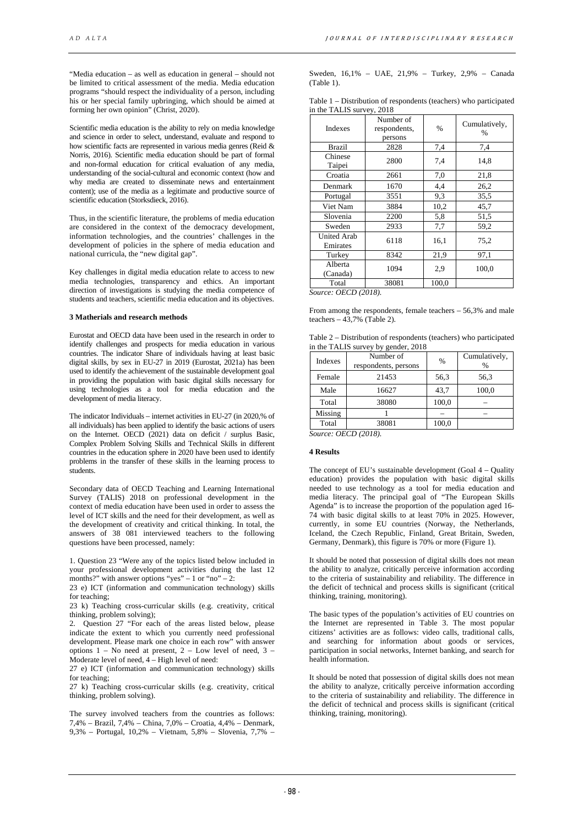"Media education – as well as education in general – should not be limited to critical assessment of the media. Media education programs "should respect the individuality of a person, including his or her special family upbringing, which should be aimed at forming her own opinion" (Christ, 2020).

Scientific media education is the ability to rely on media knowledge and science in order to select, understand, evaluate and respond to how scientific facts are represented in various media genres (Reid & Norris, 2016). Scientific media education should be part of formal and non-formal education for critical evaluation of any media, understanding of the social-cultural and economic context (how and why media are created to disseminate news and entertainment content); use of the media as a legitimate and productive source of scientific education (Storksdieck, 2016).

Thus, in the scientific literature, the problems of media education are considered in the context of the democracy development, information technologies, and the countries' challenges in the development of policies in the sphere of media education and national curricula, the "new digital gap".

Key challenges in digital media education relate to access to new media technologies, transparency and ethics. An important direction of investigations is studying the media competence of students and teachers, scientific media education and its objectives.

## **3 Matherials and research methods**

Eurostat and OECD data have been used in the research in order to identify challenges and prospects for media education in various countries. The indicator Share of individuals having at least basic digital skills, by sex in EU-27 in 2019 (Eurostat, 2021a) has been used to identify the achievement of the sustainable development goal in providing the population with basic digital skills necessary for using technologies as a tool for media education and the development of media literacy.

The indicator Individuals – internet activities in EU-27 (in 2020,% of all individuals) has been applied to identify the basic actions of users on the Internet. OECD (2021) data on deficit / surplus Basic, Complex Problem Solving Skills and Technical Skills in different countries in the education sphere in 2020 have been used to identify problems in the transfer of these skills in the learning process to students.

Secondary data of OECD Teaching and Learning International Survey (TALIS) 2018 on professional development in the context of media education have been used in order to assess the level of ICT skills and the need for their development, as well as the development of creativity and critical thinking. In total, the answers of 38 081 interviewed teachers to the following questions have been processed, namely:

1. Question 23 "Were any of the topics listed below included in your professional development activities during the last 12 months?" with answer options "yes" – 1 or "no" – 2:

23 e) ICT (information and communication technology) skills for teaching;

23 k) Teaching cross-curricular skills (e.g. creativity, critical thinking, problem solving);

2. Question 27 "For each of the areas listed below, please indicate the extent to which you currently need professional development. Please mark one choice in each row" with answer options  $1 - No$  need at present,  $2 - Low$  level of need,  $3 -$ Moderate level of need,  $4 - High level of need$ :

27 e) ICT (information and communication technology) skills for teaching;

27 k) Teaching cross-curricular skills (e.g. creativity, critical thinking, problem solving).

The survey involved teachers from the countries as follows: 7,4% – Brazil, 7,4% – China, 7,0% – Croatia, 4,4% – Denmark, 9,3% – Portugal, 10,2% – Vietnam, 5,8% – Slovenia, 7,7% –

Sweden, 16,1% – UAE, 21,9% – Turkey, 2,9% – Canada (Table 1).

| Table 1 – Distribution of respondents (teachers) who participated |  |
|-------------------------------------------------------------------|--|
| in the TALIS survey, 2018                                         |  |

| Indexes                                   | Number of<br>respondents,<br>persons | $\%$  | Cumulatively,<br>% |  |
|-------------------------------------------|--------------------------------------|-------|--------------------|--|
| Brazil                                    | 2828                                 | 7,4   | 7,4                |  |
| Chinese<br>Taipei                         | 2800                                 | 7,4   | 14,8               |  |
| Croatia                                   | 2661                                 | 7,0   | 21,8               |  |
| Denmark                                   | 1670                                 | 4,4   | 26,2               |  |
| Portugal                                  | 3551                                 | 9,3   | 35,5               |  |
| Viet Nam                                  | 3884                                 | 10,2  | 45,7               |  |
| Slovenia                                  | 2200                                 | 5,8   | 51,5               |  |
| Sweden                                    | 2933                                 | 7,7   | 59,2               |  |
| <b>United Arab</b><br>Emirates            | 6118                                 | 16,1  | 75,2               |  |
| Turkey                                    | 8342                                 | 21,9  | 97,1               |  |
| Alberta<br>(Canada)                       | 1094                                 | 2,9   | 100,0              |  |
| Total<br>$\alpha$ pan $(0.010)$<br>$\sim$ | 38081                                | 100,0 |                    |  |

*Source: OECD (2018).*

From among the respondents, female teachers – 56,3% and male teachers  $-43,7\%$  (Table 2).

Table 2 – Distribution of respondents (teachers) who participated in the TALIS survey by gender, 2018

| Indexes | Number of<br>respondents, persons | $\frac{0}{0}$ | Cumulatively,<br>$\%$ |
|---------|-----------------------------------|---------------|-----------------------|
| Female  | 21453                             | 56,3          | 56,3                  |
| Male    | 16627                             | 43,7          | 100,0                 |
| Total   | 38080                             | 100,0         |                       |
| Missing |                                   |               |                       |
| Total   | 38081                             | 100,0         |                       |

*Source: OECD (2018).*

#### **4 Results**

The concept of EU's sustainable development (Goal 4 – Quality education) provides the population with basic digital skills needed to use technology as a tool for media education and media literacy. The principal goal of "The European Skills Agenda" is to increase the proportion of the population aged 16- 74 with basic digital skills to at least 70% in 2025. However, currently, in some EU countries (Norway, the Netherlands, Iceland, the Czech Republic, Finland, Great Britain, Sweden, Germany, Denmark), this figure is 70% or more (Figure 1).

It should be noted that possession of digital skills does not mean the ability to analyze, critically perceive information according to the criteria of sustainability and reliability. The difference in the deficit of technical and process skills is significant (critical thinking, training, monitoring).

The basic types of the population's activities of EU countries on the Internet are represented in Table 3. The most popular citizens' activities are as follows: video calls, traditional calls, and searching for information about goods or services, participation in social networks, Internet banking, and search for health information.

It should be noted that possession of digital skills does not mean the ability to analyze, critically perceive information according to the criteria of sustainability and reliability. The difference in the deficit of technical and process skills is significant (critical thinking, training, monitoring).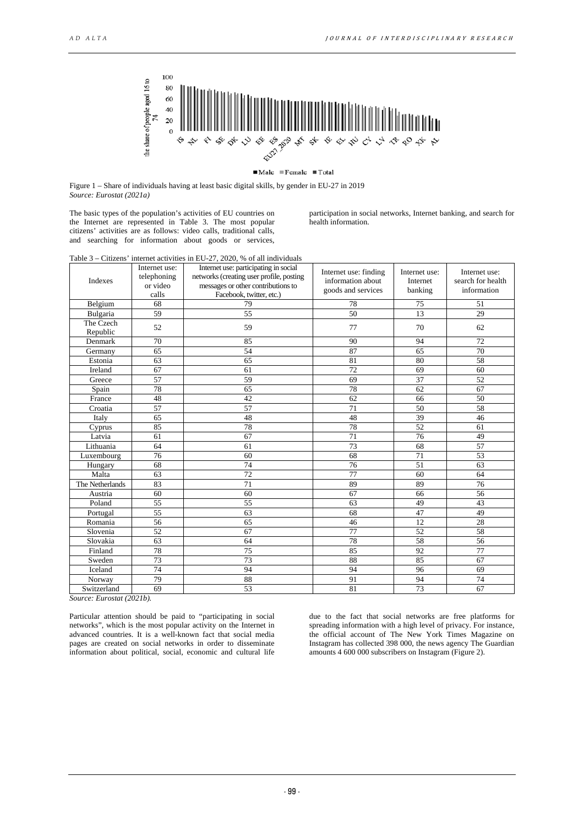

## $\blacksquare$ Male  $\blacksquare$ Female  $\blacksquare$ Total

Figure 1 – Share of individuals having at least basic digital skills, by gender in EU-27 in 2019 *Source: Eurostat (2021a)*

The basic types of the population's activities of EU countries on the Internet are represented in Table 3. The most popular citizens' activities are as follows: video calls, traditional calls, and searching for information about goods or services,

participation in social networks, Internet banking, and search for health information.

| Table $3$ – Citizens' internet activities in EU-27, 2020. % of all individuals |               |                                       |  |  |
|--------------------------------------------------------------------------------|---------------|---------------------------------------|--|--|
|                                                                                | Internet use: | Internet use: participating in social |  |  |

| Indexes               | mieniei use.<br>mieniet use. participating in social<br>telephoning<br>networks (creating user profile, posting<br>or video<br>messages or other contributions to<br>Facebook, twitter, etc.)<br>calls |    | Internet use: finding<br>information about<br>goods and services | Internet use:<br>Internet<br>banking | Internet use:<br>search for health<br>information |
|-----------------------|--------------------------------------------------------------------------------------------------------------------------------------------------------------------------------------------------------|----|------------------------------------------------------------------|--------------------------------------|---------------------------------------------------|
| Belgium               | 68                                                                                                                                                                                                     | 79 | 78                                                               | 75                                   | 51                                                |
| Bulgaria              | 59                                                                                                                                                                                                     | 55 | 50                                                               | 13                                   | 29                                                |
| The Czech<br>Republic | 52                                                                                                                                                                                                     | 59 | 77                                                               | 70                                   | 62                                                |
| Denmark               | 70                                                                                                                                                                                                     | 85 | 90                                                               | 94                                   | 72                                                |
| Germany               | 65                                                                                                                                                                                                     | 54 | 87                                                               | 65                                   | 70                                                |
| Estonia               | 63                                                                                                                                                                                                     | 65 | 81                                                               | 80                                   | 58                                                |
| Ireland               | 67                                                                                                                                                                                                     | 61 | 72                                                               | 69                                   | 60                                                |
| Greece                | 57                                                                                                                                                                                                     | 59 | 69                                                               | 37                                   | 52                                                |
| Spain                 | 78                                                                                                                                                                                                     | 65 | 78                                                               | 62                                   | 67                                                |
| France                | 48                                                                                                                                                                                                     | 42 | 62                                                               | 66                                   | 50                                                |
| Croatia               | 57                                                                                                                                                                                                     | 57 | 71                                                               | 50                                   | 58                                                |
| Italy                 | 65                                                                                                                                                                                                     | 48 | 48                                                               | 39                                   | 46                                                |
| Cyprus                | 85                                                                                                                                                                                                     | 78 | 78                                                               | 52                                   | 61                                                |
| Latvia                | 61                                                                                                                                                                                                     | 67 | 71                                                               | 76                                   | 49                                                |
| Lithuania             | 64                                                                                                                                                                                                     | 61 | $\overline{73}$                                                  | 68                                   | $\overline{57}$                                   |
| Luxembourg            | 76                                                                                                                                                                                                     | 60 | 68                                                               | 71                                   | 53                                                |
| Hungary               | 68                                                                                                                                                                                                     | 74 | 76                                                               | 51                                   | 63                                                |
| Malta                 | 63                                                                                                                                                                                                     | 72 | 77                                                               | 60                                   | 64                                                |
| The Netherlands       | 83                                                                                                                                                                                                     | 71 | 89                                                               | 89                                   | 76                                                |
| Austria               | 60                                                                                                                                                                                                     | 60 | 67                                                               | 66                                   | 56                                                |
| Poland                | 55                                                                                                                                                                                                     | 55 | 63                                                               | 49                                   | 43                                                |
| Portugal              | 55                                                                                                                                                                                                     | 63 | 68                                                               | 47                                   | 49                                                |
| Romania               | 56                                                                                                                                                                                                     | 65 | 46                                                               | 12                                   | 28                                                |
| Slovenia              | 52                                                                                                                                                                                                     | 67 | 77                                                               | 52                                   | 58                                                |
| Slovakia              | 63                                                                                                                                                                                                     | 64 | 78                                                               | 58                                   | 56                                                |
| Finland               | 78                                                                                                                                                                                                     | 75 | 85                                                               | 92                                   | 77                                                |
| Sweden                | 73                                                                                                                                                                                                     | 73 | 88                                                               | 85                                   | 67                                                |
| Iceland               | 74                                                                                                                                                                                                     | 94 | 94                                                               | 96                                   | 69                                                |
| Norway                | 79                                                                                                                                                                                                     | 88 | 91                                                               | 94                                   | 74                                                |
| Switzerland           | 69                                                                                                                                                                                                     | 53 | 81                                                               | 73                                   | 67                                                |

*Source: Eurostat (2021b).* 

Particular attention should be paid to "participating in social networks", which is the most popular activity on the Internet in advanced countries. It is a well-known fact that social media pages are created on social networks in order to disseminate information about political, social, economic and cultural life

due to the fact that social networks are free platforms for spreading information with a high level of privacy. For instance, the official account of The New York Times Magazine on Instagram has collected 398 000, the news agency The Guardian amounts 4 600 000 subscribers on Instagram (Figure 2).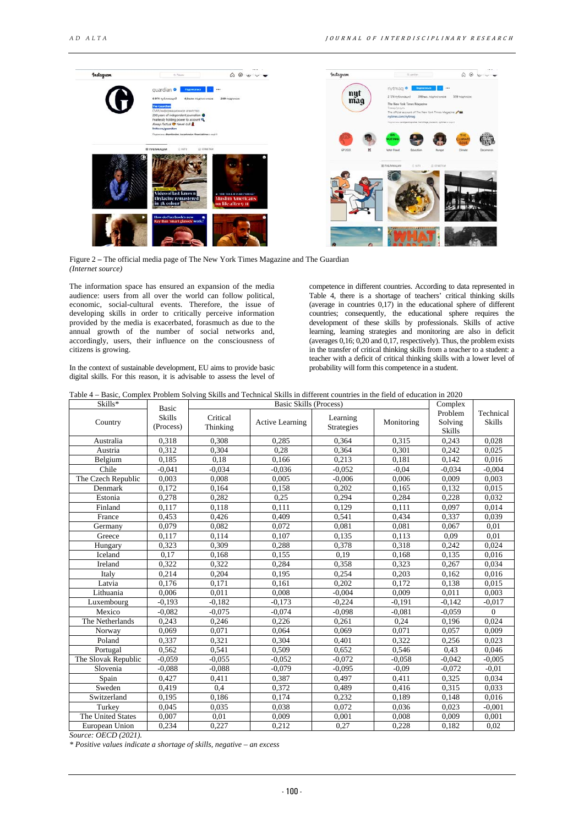

Figure 2 **–** The official media page of The New York Times Magazine and The Guardian *(Internet source)* 

The information space has ensured an expansion of the media audience: users from all over the world can follow political, economic, social-cultural events. Therefore, the issue of developing skills in order to critically perceive information provided by the media is exacerbated, forasmuch as due to the annual growth of the number of social networks and, accordingly, users, their influence on the consciousness of citizens is growing.

In the context of sustainable development, EU aims to provide basic digital skills. For this reason, it is advisable to assess the level of

competence in different countries. According to data represented in Table 4, there is a shortage of teachers' critical thinking skills (average in countries 0,17) in the educational sphere of different countries; consequently, the educational sphere requires the development of these skills by professionals. Skills of active learning, learning strategies and monitoring are also in deficit (averages 0,16; 0,20 and 0,17, respectively). Thus, the problem exists in the transfer of critical thinking skills from a teacher to a student: a teacher with a deficit of critical thinking skills with a lower level of probability will form this competence in a student.

| Table 4 – Basic, Complex Problem Solving Skills and Technical Skills in different countries in the field of education in 2020 |  |
|-------------------------------------------------------------------------------------------------------------------------------|--|
|-------------------------------------------------------------------------------------------------------------------------------|--|

| Skills*             | Basic                      | Basic Skills (Process) |                        |                               |            | Complex                             |                            |
|---------------------|----------------------------|------------------------|------------------------|-------------------------------|------------|-------------------------------------|----------------------------|
| Country             | <b>Skills</b><br>(Process) | Critical<br>Thinking   | <b>Active Learning</b> | Learning<br><b>Strategies</b> | Monitoring | Problem<br>Solving<br><b>Skills</b> | Technical<br><b>Skills</b> |
| Australia           | 0,318                      | 0,308                  | 0,285                  | 0.364                         | 0.315      | 0,243                               | 0,028                      |
| Austria             | 0,312                      | 0,304                  | 0.28                   | 0.364                         | 0.301      | 0,242                               | 0,025                      |
| Belgium             | 0,185                      | 0.18                   | 0,166                  | 0.213                         | 0,181      | 0,142                               | 0,016                      |
| Chile               | $-0.041$                   | $-0.034$               | $-0.036$               | $-0.052$                      | $-0.04$    | $-0.034$                            | $-0,004$                   |
| The Czech Republic  | 0.003                      | 0.008                  | 0.005                  | $-0.006$                      | 0.006      | 0.009                               | 0,003                      |
| Denmark             | 0,172                      | 0,164                  | 0,158                  | 0,202                         | 0,165      | 0,132                               | 0,015                      |
| Estonia             | 0,278                      | 0,282                  | 0,25                   | 0,294                         | 0,284      | 0,228                               | 0,032                      |
| Finland             | 0,117                      | 0,118                  | 0.111                  | 0.129                         | 0,111      | 0.097                               | 0,014                      |
| France              | 0,453                      | 0,426                  | 0.409                  | 0,541                         | 0.434      | 0,337                               | 0,039                      |
| Germany             | 0.079                      | 0,082                  | 0.072                  | 0.081                         | 0,081      | 0,067                               | 0,01                       |
| Greece              | 0,117                      | 0,114                  | 0,107                  | 0,135                         | 0.113      | 0.09                                | 0,01                       |
| Hungary             | 0,323                      | 0,309                  | 0,288                  | 0,378                         | 0.318      | 0,242                               | 0,024                      |
| Iceland             | 0,17                       | 0,168                  | 0,155                  | 0.19                          | 0.168      | 0,135                               | 0,016                      |
| Ireland             | 0,322                      | 0,322                  | 0.284                  | 0,358                         | 0.323      | 0,267                               | 0,034                      |
| Italy               | 0,214                      | 0,204                  | 0,195                  | 0,254                         | 0.203      | 0,162                               | 0,016                      |
| Latvia              | 0,176                      | 0,171                  | 0.161                  | 0,202                         | 0,172      | 0,138                               | 0,015                      |
| Lithuania           | 0,006                      | 0,011                  | 0,008                  | $-0,004$                      | 0,009      | 0,011                               | 0,003                      |
| Luxembourg          | $-0.193$                   | $-0.182$               | $-0,173$               | $-0,224$                      | $-0,191$   | $-0.142$                            | $-0.017$                   |
| Mexico              | $-0.082$                   | $-0.075$               | $-0.074$               | $-0.098$                      | $-0.081$   | $-0.059$                            | $\overline{0}$             |
| The Netherlands     | 0,243                      | 0,246                  | 0,226                  | 0,261                         | 0,24       | 0,196                               | 0,024                      |
| Norway              | 0.069                      | 0.071                  | 0.064                  | 0.069                         | 0.071      | 0.057                               | 0.009                      |
| Poland              | 0,337                      | 0,321                  | 0.304                  | 0.401                         | 0,322      | 0,256                               | 0,023                      |
| Portugal            | 0,562                      | 0,541                  | 0,509                  | 0,652                         | 0,546      | 0.43                                | 0,046                      |
| The Slovak Republic | $-0.059$                   | $-0.055$               | $-0.052$               | $-0.072$                      | $-0.058$   | $-0.042$                            | $-0,005$                   |
| Slovenia            | $-0.088$                   | $-0.088$               | $-0.079$               | $-0.095$                      | $-0.09$    | $-0.072$                            | $-0.01$                    |
| Spain               | 0,427                      | 0,411                  | 0,387                  | 0,497                         | 0.411      | 0,325                               | 0,034                      |
| Sweden              | 0,419                      | 0,4                    | 0,372                  | 0,489                         | 0.416      | 0,315                               | 0,033                      |
| Switzerland         | 0,195                      | 0,186                  | 0,174                  | 0,232                         | 0,189      | 0,148                               | 0,016                      |
| Turkey              | 0,045                      | 0,035                  | 0,038                  | 0,072                         | 0.036      | 0,023                               | $-0.001$                   |
| The United States   | 0,007                      | 0.01                   | 0,009                  | 0,001                         | 0,008      | 0,009                               | 0.001                      |
| European Union      | 0,234                      | 0.227                  | 0.212                  | 0,27                          | 0,228      | 0,182                               | 0.02                       |

*Source: OECD (2021).*

*\* Positive values indicate a shortage of skills, negative* – *an excess*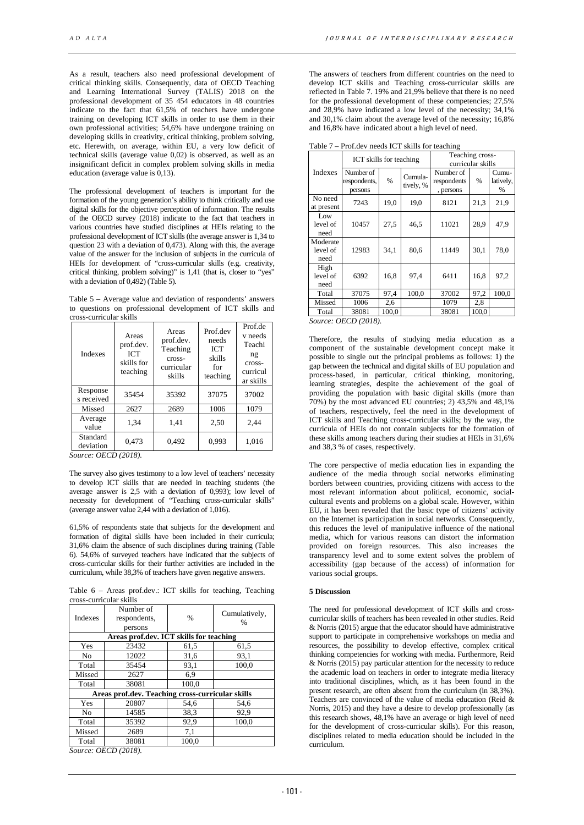As a result, teachers also need professional development of critical thinking skills. Consequently, data of OECD Teaching and Learning International Survey (TALIS) 2018 on the professional development of 35 454 educators in 48 countries indicate to the fact that 61,5% of teachers have undergone training on developing ICT skills in order to use them in their own professional activities; 54,6% have undergone training on developing skills in creativity, critical thinking, problem solving, etc. Herewith, on average, within EU, a very low deficit of technical skills (average value 0,02) is observed, as well as an insignificant deficit in complex problem solving skills in media education (average value is 0,13).

The professional development of teachers is important for the formation of the young generation's ability to think critically and use digital skills for the objective perception of information. The results of the OECD survey (2018) indicate to the fact that teachers in various countries have studied disciplines at HEIs relating to the professional development of ICT skills (the average answer is 1,34 to question 23 with a deviation of  $0.473$ ). Along with this, the average value of the answer for the inclusion of subjects in the curricula of HEIs for development of "cross-curricular skills (e.g. creativity, critical thinking, problem solving)" is 1,41 (that is, closer to "yes" with a deviation of  $0.492$ ) (Table 5).

Table 5 – Average value and deviation of respondents' answers to questions on professional development of ICT skills and cross-curricular skills

| <b>Indexes</b>         | Areas<br>prof.dev.<br><b>ICT</b><br>skills for<br>teaching | Areas<br>prof.dev.<br>Teaching<br>cross-<br>curricular<br>skills | Prof.dev<br>needs<br><b>ICT</b><br>skills<br>for<br>teaching | Prof.de<br>v needs<br>Teachi<br>ng<br>cross-<br>curricul<br>ar skills |
|------------------------|------------------------------------------------------------|------------------------------------------------------------------|--------------------------------------------------------------|-----------------------------------------------------------------------|
| Response<br>s received | 35454                                                      | 35392                                                            | 37075                                                        | 37002                                                                 |
| Missed                 | 2627                                                       | 2689                                                             | 1006                                                         | 1079                                                                  |
| Average<br>value       | 1,34                                                       | 1,41                                                             | 2,50                                                         | 2.44                                                                  |
| Standard<br>deviation  | 0.473                                                      | 0.492                                                            | 0.993                                                        | 1,016                                                                 |

*Source: OECD (2018).*

The survey also gives testimony to a low level of teachers' necessity to develop ICT skills that are needed in teaching students (the average answer is 2,5 with a deviation of 0,993); low level of necessity for development of "Teaching cross-curricular skills" (average answer value 2,44 with a deviation of 1,016).

61,5% of respondents state that subjects for the development and formation of digital skills have been included in their curricula; 31,6% claim the absence of such disciplines during training (Table 6). 54,6% of surveyed teachers have indicated that the subjects of cross-curricular skills for their further activities are included in the curriculum, while 38,3% of teachers have given negative answers.

Table 6 – Areas prof.dev.: ICT skills for teaching, Teaching cross-curricular skills

| <b>Indexes</b> | Number of<br>respondents,<br>persons             | %     | Cumulatively,<br>% |
|----------------|--------------------------------------------------|-------|--------------------|
|                | Areas prof.dev. ICT skills for teaching          |       |                    |
| Yes            | 23432                                            | 61,5  | 61,5               |
| No.            | 12022                                            | 31,6  | 93,1               |
| Total          | 35454                                            | 93,1  | 100,0              |
| Missed         | 2627                                             | 6.9   |                    |
| Total          | 38081                                            | 100,0 |                    |
|                | Areas prof.dev. Teaching cross-curricular skills |       |                    |
| Yes            | 20807                                            | 54,6  | 54,6               |
| N <sub>0</sub> | 14585                                            | 38.3  | 92,9               |
| Total          | 35392                                            | 92,9  | 100.0              |
| Missed         | 2689                                             | 7,1   |                    |
| Total          | 38081                                            | 100.0 |                    |

*Source: OECD (2018).*

The answers of teachers from different countries on the need to develop ICT skills and Teaching cross-curricular skills are reflected in Table 7. 19% and 21,9% believe that there is no need for the professional development of these competencies; 27,5% and 28,9% have indicated a low level of the necessity; 34,1% and 30,1% claim about the average level of the necessity; 16,8% and 16,8% have indicated about a high level of need.

Table 7 – Prof.dev needs ICT skills for teaching

|                              | ICT skills for teaching              |       |                      | Teaching cross-<br>curricular skills  |       |                         |
|------------------------------|--------------------------------------|-------|----------------------|---------------------------------------|-------|-------------------------|
| Indexes                      | Number of<br>respondents,<br>persons | $\%$  | Cumula-<br>tively, % | Number of<br>respondents<br>, persons | %     | Cumu-<br>latively,<br>% |
| No need<br>at present        | 7243                                 | 19,0  | 19,0                 | 8121                                  | 21,3  | 21,9                    |
| Low<br>level of<br>need      | 10457                                | 27,5  | 46,5                 | 11021                                 | 28,9  | 47,9                    |
| Moderate<br>level of<br>need | 12983                                | 34,1  | 80,6                 | 11449                                 | 30,1  | 78,0                    |
| High<br>level of<br>need     | 6392                                 | 16,8  | 97,4                 | 6411                                  | 16,8  | 97,2                    |
| Total                        | 37075                                | 97,4  | 100,0                | 37002                                 | 97,2  | 100,0                   |
| Missed                       | 1006                                 | 2,6   |                      | 1079                                  | 2,8   |                         |
| Total<br>$\sim$              | 38081<br>$\alpha$ pan $(0.010)$      | 100,0 |                      | 38081                                 | 100,0 |                         |

*Source: OECD (2018).*

Therefore, the results of studying media education as a component of the sustainable development concept make it possible to single out the principal problems as follows: 1) the gap between the technical and digital skills of EU population and process-based, in particular, critical thinking, monitoring, learning strategies, despite the achievement of the goal of providing the population with basic digital skills (more than  $70\%$ ) by the most advanced EU countries; 2) 43,5% and 48,1% of teachers, respectively, feel the need in the development of ICT skills and Teaching cross-curricular skills; by the way, the curricula of HEIs do not contain subjects for the formation of these skills among teachers during their studies at HEIs in 31,6% and 38,3 % of cases, respectively.

The core perspective of media education lies in expanding the audience of the media through social networks eliminating borders between countries, providing citizens with access to the most relevant information about political, economic, socialcultural events and problems on a global scale. However, within EU, it has been revealed that the basic type of citizens' activity on the Internet is participation in social networks. Consequently, this reduces the level of manipulative influence of the national media, which for various reasons can distort the information provided on foreign resources. This also increases the transparency level and to some extent solves the problem of accessibility (gap because of the access) of information for various social groups.

### **5 Discussion**

The need for professional development of ICT skills and crosscurricular skills of teachers has been revealed in other studies. Reid & Norris (2015) argue that the educator should have administrative support to participate in comprehensive workshops on media and resources, the possibility to develop effective, complex critical thinking competencies for working with media. Furthermore, Reid & Norris (2015) pay particular attention for the necessity to reduce the academic load on teachers in order to integrate media literacy into traditional disciplines, which, as it has been found in the present research, are often absent from the curriculum (in 38,3%). Teachers are convinced of the value of media education (Reid & Norris, 2015) and they have a desire to develop professionally (as this research shows, 48,1% have an average or high level of need for the development of cross-curricular skills). For this reason, disciplines related to media education should be included in the curriculum.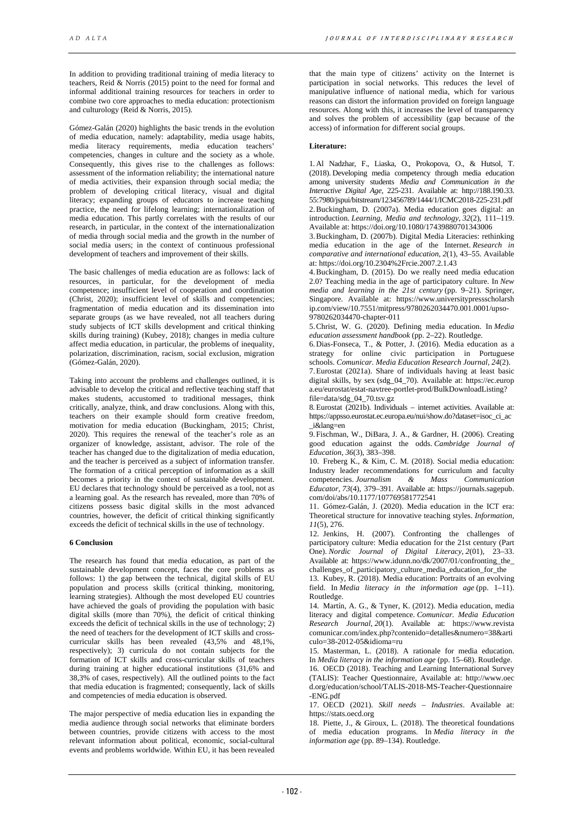In addition to providing traditional training of media literacy to teachers, Reid & Norris (2015) point to the need for formal and informal additional training resources for teachers in order to combine two core approaches to media education: protectionism and culturology (Reid & Norris, 2015).

Gómez-Galán (2020) highlights the basic trends in the evolution of media education, namely: adaptability, media usage habits, media literacy requirements, media education teachers' competencies, changes in culture and the society as a whole. Consequently, this gives rise to the challenges as follows: assessment of the information reliability; the international nature of media activities, their expansion through social media; the problem of developing critical literacy, visual and digital literacy; expanding groups of educators to increase teaching practice, the need for lifelong learning; internationalization of media education. This partly correlates with the results of our research, in particular, in the context of the internationalization of media through social media and the growth in the number of social media users; in the context of continuous professional development of teachers and improvement of their skills.

The basic challenges of media education are as follows: lack of resources, in particular, for the development of media competence; insufficient level of cooperation and coordination (Christ, 2020); insufficient level of skills and competencies; fragmentation of media education and its dissemination into separate groups (as we have revealed, not all teachers during study subjects of ICT skills development and critical thinking skills during training) (Kubey, 2018); changes in media culture affect media education, in particular, the problems of inequality, polarization, discrimination, racism, social exclusion, migration (Gómez-Galán, 2020).

Taking into account the problems and challenges outlined, it is advisable to develop the critical and reflective teaching staff that makes students, accustomed to traditional messages, think critically, analyze, think, and draw conclusions. Along with this, teachers on their example should form creative freedom, motivation for media education (Buckingham, 2015; Christ, 2020). This requires the renewal of the teacher's role as an organizer of knowledge, assistant, advisor. The role of the teacher has changed due to the digitalization of media education, and the teacher is perceived as a subject of information transfer. The formation of a critical perception of information as a skill becomes a priority in the context of sustainable development. EU declares that technology should be perceived as a tool, not as a learning goal. As the research has revealed, more than 70% of citizens possess basic digital skills in the most advanced countries, however, the deficit of critical thinking significantly exceeds the deficit of technical skills in the use of technology.

# **6 Conclusion**

The research has found that media education, as part of the sustainable development concept, faces the core problems as follows: 1) the gap between the technical, digital skills of EU population and process skills (critical thinking, monitoring, learning strategies). Although the most developed EU countries have achieved the goals of providing the population with basic digital skills (more than 70%), the deficit of critical thinking exceeds the deficit of technical skills in the use of technology; 2) the need of teachers for the development of ICT skills and crosscurricular skills has been revealed (43,5% and 48,1%, respectively); 3) curricula do not contain subjects for the formation of ICT skills and cross-curricular skills of teachers during training at higher educational institutions (31,6% and 38,3% of cases, respectively). All the outlined points to the fact that media education is fragmented; consequently, lack of skills and competencies of media education is observed.

The major perspective of media education lies in expanding the media audience through social networks that eliminate borders between countries, provide citizens with access to the most relevant information about political, economic, social-cultural events and problems worldwide. Within EU, it has been revealed

that the main type of citizens' activity on the Internet is participation in social networks. This reduces the level of manipulative influence of national media, which for various reasons can distort the information provided on foreign language resources. Along with this, it increases the level of transparency and solves the problem of accessibility (gap because of the access) of information for different social groups.

# **Literature:**

1. Al Nadzhar, F., Liaska, O., Prokopova, O., & Hutsol, T. (2018). Developing media competency through media education among university students *Media and Communication in the Interactive Digital Age,* 225-231. Available at: http://188.190.33. 55:7980/jspui/bitstream/123456789/1444/1/ICMC2018-225-231.pdf 2.Buckingham, D. (2007a). Media education goes digital: an introduction. *Learning, Media and technology*, *32*(2), 111–119. Available at: https://doi.org/10.1080/17439880701343006

3.Buckingham, D. (2007b). Digital Media Literacies: rethinking media education in the age of the Internet. *Research in comparative and international education*, *2*(1), 43–55. Available at: https://doi.org/10.2304%2Frcie.2007.2.1.43

4.Buckingham, D. (2015). Do we really need media education 2.0? Teaching media in the age of participatory culture. In *New media and learning in the 21st century* (pp. 9–21). Springer, Singapore. Available at: https://www.universitypressscholarsh ip.com/view/10.7551/mitpress/9780262034470.001.0001/upso-9780262034470-chapter-011

5.Christ, W. G. (2020). Defining media education. In *Media education assessment handbook* (pp. 2–22). Routledge.

6.Dias-Fonseca, T., & Potter, J. (2016). Media education as a strategy for online civic participation in Portuguese schools. *Comunicar. Media Education Research Journal*, *24*(2).

7.Eurostat (2021a). Share of individuals having at least basic digital skills, by sex (sdg\_04\_70). Available at: https://ec.europ a.eu/eurostat/estat-navtree-portlet-prod/BulkDownloadListing? file=data/sdg\_04\_70.tsv.gz

8. Eurostat (2021b). Individuals – internet activities. Available at: https://appsso.eurostat.ec.europa.eu/nui/show.do?dataset=isoc\_ci\_ac \_i&lang=en

9.Fischman, W., DiBara, J. A., & Gardner, H. (2006). Creating good education against the odds. *Cambridge Journal of Education*, *36*(3), 383–398.

10. Freberg K., & Kim, C. M. (2018). Social media education: Industry leader recommendations for curriculum and faculty<br>commetencies  $Journalism$  & Mass Communication competencies. *Journalism & Mass Communication Educator*, *73*(4), 379–391. Available at: https://journals.sagepub. com/doi/abs/10.1177/107769581772541

11. Gómez-Galán, J. (2020). Media education in the ICT era: Theoretical structure for innovative teaching styles. *Information*, *11*(5), 276.

12. Jenkins, H. (2007). Confronting the challenges of participatory culture: Media education for the 21st century (Part One). *Nordic Journal of Digital Literacy*, *2*(01), 23–33. Available at: https://www.idunn.no/dk/2007/01/confronting\_the\_ challenges\_of\_participatory\_culture\_media\_education\_for\_the

13. Kubey, R. (2018). Media education: Portraits of an evolving field. In *Media literacy in the information age* (pp. 1–11). Routledge.

14. Martín, A. G., & Tyner, K. (2012). Media education, media literacy and digital competence. *Comunicar. Media Education Research Journal*, *20*(1). Available at: https://www.revista comunicar.com/index.php?contenido=detalles&numero=38&arti  $\text{culo}=38-2012-05\&\text{idioma}=ru$ 

15. Masterman, L. (2018). A rationale for media education. In *Media literacy in the information age* (pp. 15–68). Routledge.

16. OECD (2018). Teaching and Learning International Survey (TALIS): Teacher Questionnaire, Available at: http://www.oec d.org/education/school/TALIS-2018-MS-Teacher-Questionnaire -ENG.pdf

17. OECD (2021). *Skill needs – Industries*. Available at: https://stats.oecd.org

18. Piette, J., & Giroux, L. (2018). The theoretical foundations of media education programs. In *Media literacy in the information age* (pp. 89–134). Routledge.